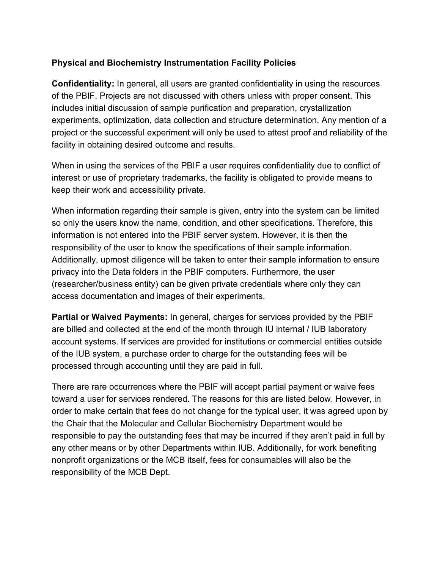## **Physical and Biochemistry Instrumentation Facility Policies**

**Confidentiality:** In general, all users are granted confidentiality in using the resources of the PBIF. Projects are not discussed with others unless with proper consent. This includes initial discussion of sample purification and preparation, crystallization experiments, optimization, data collection and structure determination. Any mention of a project or the successful experiment will only be used to attest proof and reliability of the facility in obtaining desired outcome and results.

When in using the services of the PBIF a user requires confidentiality due to conflict of interest or use of proprietary trademarks, the facility is obligated to provide means to keep their work and accessibility private.

When information regarding their sample is given, entry into the system can be limited so only the users know the name, condition, and other specifications. Therefore, this information is not entered into the PBIF server system. However, it is then the responsibility of the user to know the specifications of their sample information. Additionally, upmost diligence will be taken to enter their sample information to ensure privacy into the Data folders in the PBIF computers. Furthermore, the user (researcher/business entity) can be given private credentials where only they can access documentation and images of their experiments.

**Partial or Waived Payments:** In general, charges for services provided by the PBIF are billed and collected at the end of the month through IU internal / IUB laboratory account systems. If services are provided for institutions or commercial entities outside of the IUB system, a purchase order to charge for the outstanding fees will be processed through accounting until they are paid in full.

There are rare occurrences where the PBIF will accept partial payment or waive fees toward a user for services rendered. The reasons for this are listed below. However, in order to make certain that fees do not change for the typical user, it was agreed upon by the Chair that the Molecular and Cellular Biochemistry Department would be responsible to pay the outstanding fees that may be incurred if they aren't paid in full by any other means or by other Departments within IUB. Additionally, for work benefiting nonprofit organizations or the MCB itself, fees for consumables will also be the responsibility of the MCB Dept.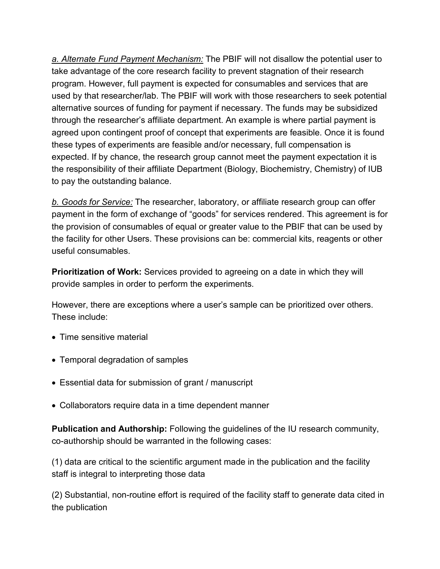*a. Alternate Fund Payment Mechanism:* The PBIF will not disallow the potential user to take advantage of the core research facility to prevent stagnation of their research program. However, full payment is expected for consumables and services that are used by that researcher/lab. The PBIF will work with those researchers to seek potential alternative sources of funding for payment if necessary. The funds may be subsidized through the researcher's affiliate department. An example is where partial payment is agreed upon contingent proof of concept that experiments are feasible. Once it is found these types of experiments are feasible and/or necessary, full compensation is expected. If by chance, the research group cannot meet the payment expectation it is the responsibility of their affiliate Department (Biology, Biochemistry, Chemistry) of IUB to pay the outstanding balance.

*b. Goods for Service:* The researcher, laboratory, or affiliate research group can offer payment in the form of exchange of "goods" for services rendered. This agreement is for the provision of consumables of equal or greater value to the PBIF that can be used by the facility for other Users. These provisions can be: commercial kits, reagents or other useful consumables.

**Prioritization of Work:** Services provided to agreeing on a date in which they will provide samples in order to perform the experiments.

However, there are exceptions where a user's sample can be prioritized over others. These include:

- Time sensitive material
- Temporal degradation of samples
- Essential data for submission of grant / manuscript
- Collaborators require data in a time dependent manner

**Publication and Authorship:** Following the guidelines of the IU research community, co-authorship should be warranted in the following cases:

(1) data are critical to the scientific argument made in the publication and the facility staff is integral to interpreting those data

(2) Substantial, non-routine effort is required of the facility staff to generate data cited in the publication